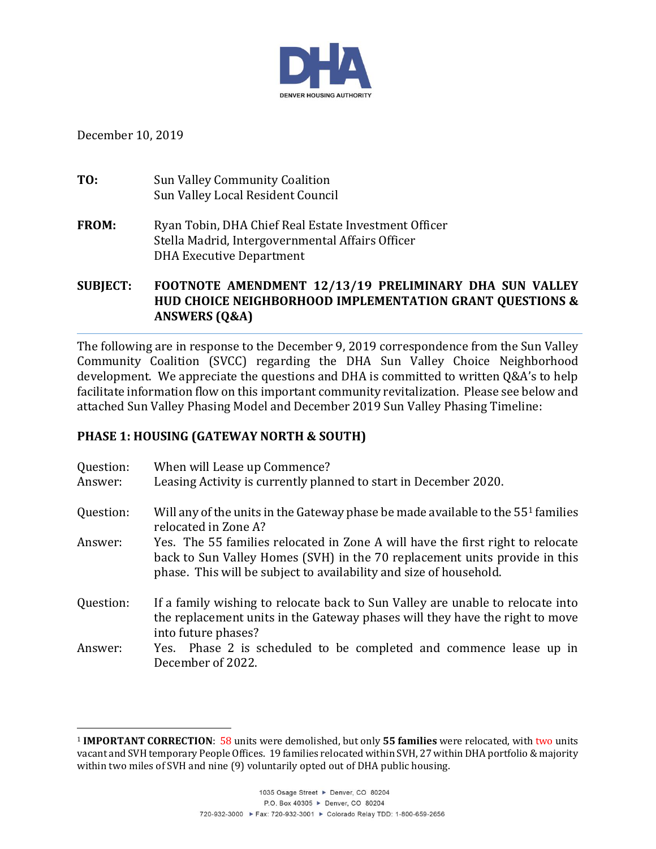

December 10, 2019

l

**TO:** Sun Valley Community Coalition Sun Valley Local Resident Council

**FROM:** Ryan Tobin, DHA Chief Real Estate Investment Officer Stella Madrid, Intergovernmental Affairs Officer DHA Executive Department

**SUBJECT: FOOTNOTE AMENDMENT 12/13/19 PRELIMINARY DHA SUN VALLEY HUD CHOICE NEIGHBORHOOD IMPLEMENTATION GRANT QUESTIONS & ANSWERS (Q&A)**

The following are in response to the December 9, 2019 correspondence from the Sun Valley Community Coalition (SVCC) regarding the DHA Sun Valley Choice Neighborhood development. We appreciate the questions and DHA is committed to written Q&A's to help facilitate information flow on this important community revitalization. Please see below and attached Sun Valley Phasing Model and December 2019 Sun Valley Phasing Timeline:

## **PHASE 1: HOUSING (GATEWAY NORTH & SOUTH)**

| Question:<br>Answer: | When will Lease up Commence?<br>Leasing Activity is currently planned to start in December 2020.                                                                                                                                   |
|----------------------|------------------------------------------------------------------------------------------------------------------------------------------------------------------------------------------------------------------------------------|
| Question:            | Will any of the units in the Gateway phase be made available to the 55 <sup>1</sup> families<br>relocated in Zone A?                                                                                                               |
| Answer:              | Yes. The 55 families relocated in Zone A will have the first right to relocate<br>back to Sun Valley Homes (SVH) in the 70 replacement units provide in this<br>phase. This will be subject to availability and size of household. |
| Question:            | If a family wishing to relocate back to Sun Valley are unable to relocate into<br>the replacement units in the Gateway phases will they have the right to move<br>into future phases?                                              |
| Answer:              | Yes. Phase 2 is scheduled to be completed and commence lease up in<br>December of 2022.                                                                                                                                            |

<sup>1</sup> **IMPORTANT CORRECTION**: 58 units were demolished, but only **55 families** were relocated, with two units vacant and SVHtemporary People Offices. 19 families relocated within SVH, 27 within DHA portfolio & majority within two miles of SVH and nine (9) voluntarily opted out of DHA public housing.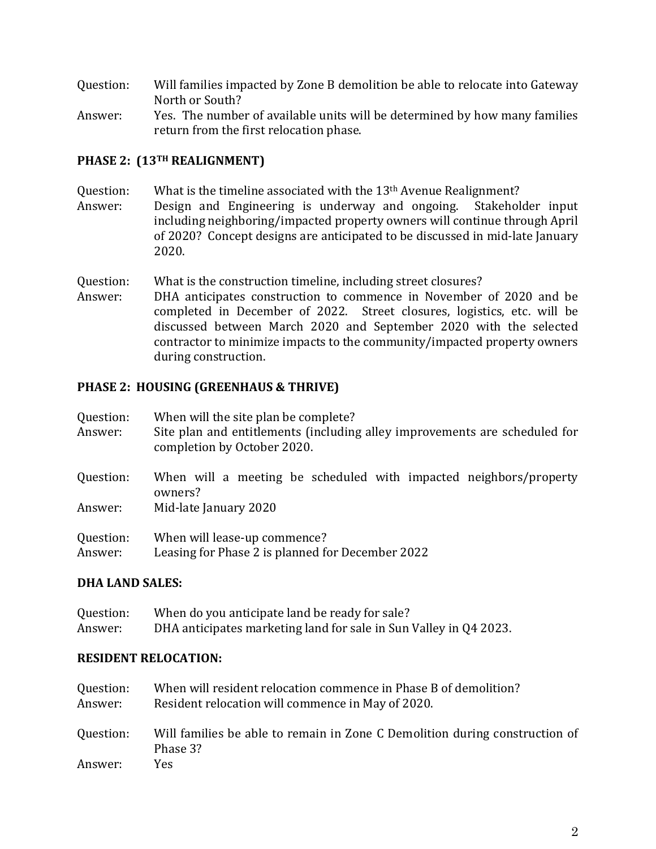- Question: Will families impacted by Zone B demolition be able to relocate into Gateway North or South?
- Answer: Yes. The number of available units will be determined by how many families return from the first relocation phase.

# **PHASE 2: (13TH REALIGNMENT)**

- Question: What is the timeline associated with the 13<sup>th</sup> Avenue Realignment?
- Answer: Design and Engineering is underway and ongoing. Stakeholder input including neighboring/impacted property owners will continue through April of 2020? Concept designs are anticipated to be discussed in mid-late January 2020.
- Question: What is the construction timeline, including street closures?
- Answer: DHA anticipates construction to commence in November of 2020 and be completed in December of 2022. Street closures, logistics, etc. will be discussed between March 2020 and September 2020 with the selected contractor to minimize impacts to the community/impacted property owners during construction.

## **PHASE 2: HOUSING (GREENHAUS & THRIVE)**

| Question:<br>Answer: | When will the site plan be complete?<br>Site plan and entitlements (including alley improvements are scheduled for<br>completion by October 2020. |
|----------------------|---------------------------------------------------------------------------------------------------------------------------------------------------|
| Question:            | When will a meeting be scheduled with impacted neighbors/property<br>owners?                                                                      |
| Answer:              | Mid-late January 2020                                                                                                                             |
| Question:            | When will lease-up commence?                                                                                                                      |
| Answer:              | Leasing for Phase 2 is planned for December 2022                                                                                                  |

## **DHA LAND SALES:**

Question: When do you anticipate land be ready for sale? Answer: DHA anticipates marketing land for sale in Sun Valley in Q4 2023.

### **RESIDENT RELOCATION:**

| Question:<br>Answer: | When will resident relocation commence in Phase B of demolition?<br>Resident relocation will commence in May of 2020. |
|----------------------|-----------------------------------------------------------------------------------------------------------------------|
| Question:            | Will families be able to remain in Zone C Demolition during construction of<br>Phase 3?                               |
| Answer:              | Yes.                                                                                                                  |